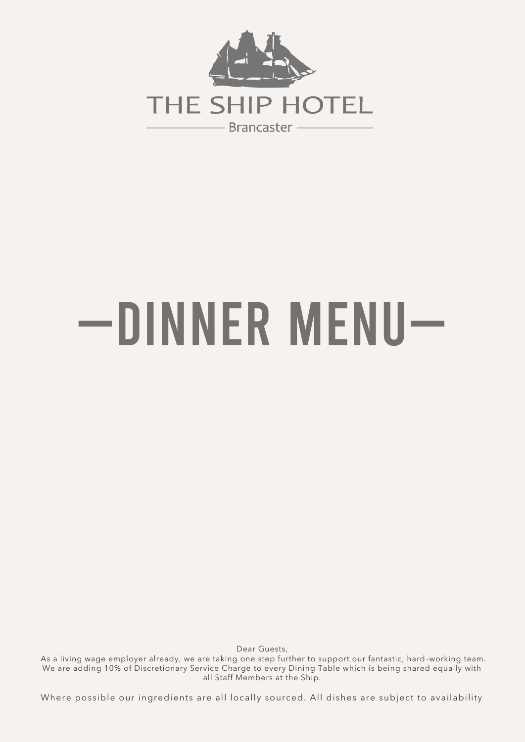

## —Dinner Menu—

Dear Guests,

 As a living wage employer already, we are taking one step further to support our fantastic, hard -working team. We are adding 10% of Discretionary Service Charge to every Dining Table which is being shared equally with all Staff Members at the Ship.

Where possible our ingredients are all locally sourced. All dishes are subject to availability